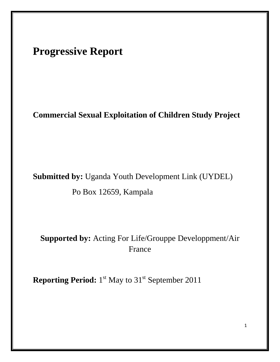# **Progressive Report**

# **Commercial Sexual Exploitation of Children Study Project**

# **Submitted by:** Uganda Youth Development Link (UYDEL)

Po Box 12659, Kampala

# **Supported by:** Acting For Life/Grouppe Developpment/Air France

**Reporting Period:** 1<sup>st</sup> May to 31<sup>st</sup> September 2011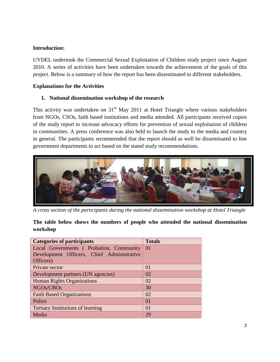## **Introduction:**

UYDEL undertook the Commercial Sexual Exploitation of Children study project since August 2010. A series of activities have been undertaken towards the achievement of the goals of this project. Below is a summary of how the report has been disseminated to different stakeholders.

## **Explanations for the Activities**

# **1. National dissemination workshop of the research**

This activity was undertaken on  $31<sup>st</sup>$  May 2011 at Hotel Triangle where various stakeholders from NGOs, CSOs, faith based institutions and media attended. All participants received copies of the study report to increase advocacy efforts for prevention of sexual exploitation of children in communities. A press conference was also held to launch the study to the media and country in general. The participants recommended that the report should as well be disseminated to line government departments to act based on the stated study recommendations.



*A cross section of the participants during the national dissemination workshop at Hotel Triangle*

**The table below shows the numbers of people who attended the national dissemination workshop**

| <b>Categories of participants</b>          | <b>Totals</b>   |
|--------------------------------------------|-----------------|
| Local Governments (Probation, Community 01 |                 |
| Development Officers, Chief Administrative |                 |
| Officers)                                  |                 |
| Private sector                             | 01              |
| Development partners (UN agencies)         | 02              |
| <b>Human Rights Organizations</b>          | 02              |
| NGOs/CBOs                                  | 30              |
| <b>Faith Based Organizations</b>           | 02              |
| Police                                     | $\overline{01}$ |
| <b>Tertiary Institutions of learning</b>   | $\Omega$        |
| Media                                      | 29              |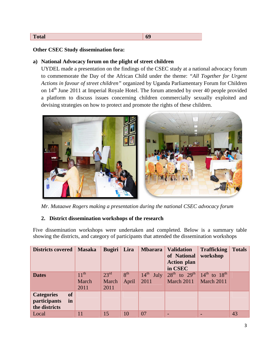#### **Total 69**

#### **Other CSEC Study dissemination fora:**

#### **a) National Advocacy forum on the plight of street children**

UYDEL made a presentation on the findings of the CSEC study at a national advocacy forum to commemorate the Day of the African Child under the theme: *"All Together for Urgent Actions in favour of street children"* organized by Uganda Parliamentary Forum for Children on 14<sup>th</sup> June 2011 at Imperial Royale Hotel. The forum attended by over 40 people provided a platform to discuss issues concerning children commercially sexually exploited and devising strategies on how to protect and promote the rights of these children.



*Mr. Mutaawe Rogers making a presentation during the national CSEC advocacy forum*

#### **2. District dissemination workshops of the research**

Five dissemination workshops were undertaken and completed. Below is a summary table showing the districts, and category of participants that attended the dissemination workshops

| <b>Districts covered</b>                                              | <b>Masaka</b>              | Bugiri                            | Lira                     | <b>Mbarara</b>                   | <b>Validation</b><br>of National<br><b>Action plan</b><br>in CSEC | <b>Trafficking</b><br>workshop       | <b>Totals</b> |
|-----------------------------------------------------------------------|----------------------------|-----------------------------------|--------------------------|----------------------------------|-------------------------------------------------------------------|--------------------------------------|---------------|
| <b>Dates</b>                                                          | $11^{th}$<br>March<br>2011 | $23^{\text{rd}}$<br>March<br>2011 | 8 <sup>th</sup><br>April | $14^{\text{th}}$<br>July<br>2011 | $28^{\text{th}}$ to $29^{\text{th}}$<br>March 2011                | $14^{th}$ to $18^{th}$<br>March 2011 |               |
| <b>of</b><br><b>Categories</b><br>participants<br>in<br>the districts |                            |                                   |                          |                                  |                                                                   |                                      |               |
| Local                                                                 | 11                         | 15                                | 10                       | 07                               |                                                                   | $\blacksquare$                       | 43            |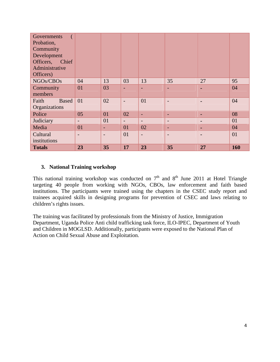| Governments<br>Probation,<br>Community<br>Development<br>Officers, Chief<br>Administrative<br>Officers) |                          |                          |                          |                          |    |                |     |
|---------------------------------------------------------------------------------------------------------|--------------------------|--------------------------|--------------------------|--------------------------|----|----------------|-----|
| NGOs/CBOs                                                                                               | 04                       | 13                       | 03                       | 13                       | 35 | 27             | 95  |
| Community                                                                                               | 01                       | 03                       | ٠                        | ÷                        | ÷. | -              | 04  |
| members                                                                                                 |                          |                          |                          |                          |    |                |     |
| Faith<br><b>Based</b>                                                                                   | 01                       | 02                       | $\overline{\phantom{0}}$ | 01                       | -  | $\blacksquare$ | 04  |
| Organizations                                                                                           |                          |                          |                          |                          |    |                |     |
| Police                                                                                                  | 05                       | 01                       | 02                       | ۰                        | н. | $\blacksquare$ | 08  |
| Judiciary                                                                                               | $\overline{\phantom{0}}$ | 01                       | $\overline{\phantom{a}}$ | $\overline{\phantom{0}}$ | -  | $\blacksquare$ | 01  |
| Media                                                                                                   | 01                       | ÷                        | 01                       | 02                       | H. | ٠              | 04  |
| Cultural                                                                                                |                          | $\overline{\phantom{0}}$ | 01                       |                          |    | $\blacksquare$ | 01  |
| institutions                                                                                            |                          |                          |                          |                          |    |                |     |
| <b>Totals</b>                                                                                           | 23                       | 35                       | 17                       | 23                       | 35 | 27             | 160 |

### **3. National Training workshop**

This national training workshop was conducted on  $7<sup>th</sup>$  and  $8<sup>th</sup>$  June 2011 at Hotel Triangle targeting 40 people from working with NGOs, CBOs, law enforcement and faith based institutions. The participants were trained using the chapters in the CSEC study report and trainees acquired skills in designing programs for prevention of CSEC and laws relating to children's rights issues.

The training was facilitated by professionals from the Ministry of Justice, Immigration Department, Uganda Police Anti child trafficking task force, ILO-IPEC, Department of Youth and Children in MOGLSD. Additionally, participants were exposed to the National Plan of Action on Child Sexual Abuse and Exploitation.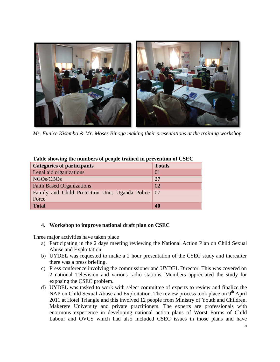

*Ms. Eunice Kisembo & Mr. Moses Binoga making their presentations at the training workshop*

| <b>Categories of participants</b>                             | <b>Totals</b> |
|---------------------------------------------------------------|---------------|
| Legal aid organizations                                       | 01            |
| NGOs/CBOs                                                     | 27            |
| <b>Faith Based Organizations</b>                              | 02            |
| Family and Child Protection Unit; Uganda Police   07<br>Force |               |
| <b>Total</b>                                                  | 40            |

#### **Table showing the numbers of people trained in prevention of CSEC**

#### **4. Workshop to improve national draft plan on CSEC**

Three major activities have taken place

- a) Participating in the 2 days meeting reviewing the National Action Plan on Child Sexual Abuse and Exploitation.
- b) UYDEL was requested to make a 2 hour presentation of the CSEC study and thereafter there was a press briefing.
- c) Press conference involving the commissioner and UYDEL Director. This was covered on 2 national Television and various radio stations. Members appreciated the study for exposing the CSEC problem.
- d) UYDEL was tasked to work with select committee of experts to review and finalize the NAP on Child Sexual Abuse and Exploitation. The review process took place on  $9<sup>th</sup>$  April 2011 at Hotel Triangle and this involved 12 people from Ministry of Youth and Children, Makerere University and private practitioners. The experts are professionals with enormous experience in developing national action plans of Worst Forms of Child Labour and OVCS which had also included CSEC issues in those plans and have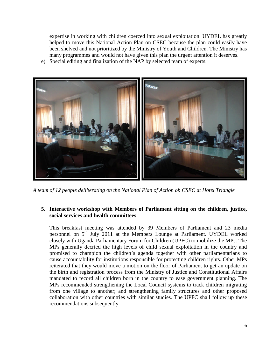expertise in working with children coerced into sexual exploitation. UYDEL has greatly helped to move this National Action Plan on CSEC because the plan could easily have been shelved and not prioritized by the Ministry of Youth and Children. The Ministry has many programmes and would not have given this plan the urgent attention it deserves.

e) Special editing and finalization of the NAP by selected team of experts.



*A team of 12 people deliberating on the National Plan of Action ob CSEC at Hotel Triangle*

## **5. Interactive workshop with Members of Parliament sitting on the children, justice, social services and health committees**

This breakfast meeting was attended by 39 Members of Parliament and 23 media personnel on 5th July 2011 at the Members Lounge at Parliament. UYDEL worked closely with Uganda Parliamentary Forum for Children (UPFC) to mobilize the MPs. The MPs generally decried the high levels of child sexual exploitation in the country and promised to champion the children's agenda together with other parliamentarians to cause accountability for institutions responsible for protecting children rights. Other MPs reiterated that they would move a motion on the floor of Parliament to get an update on the birth and registration process from the Ministry of Justice and Constitutional Affairs mandated to record all children born in the country to ease government planning. The MPs recommended strengthening the Local Council systems to track children migrating from one village to another; and strengthening family structures and other proposed collaboration with other countries with similar studies. The UPFC shall follow up these recommendations subsequently.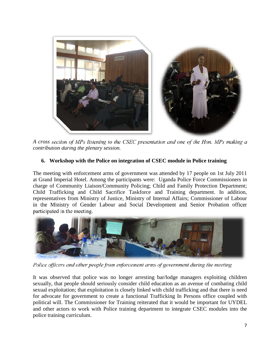

*A cross section of MPs listening to the CSEC presentation and one of the Hon. MPs making a contribution during the plenary session.*

# **6. Workshop with the Police on integration of CSEC module in Police training**

The meeting with enforcement arms of government was attended by 17 people on 1st July 2011 at Grand Imperial Hotel. Among the participants were: Uganda Police Force Commissioners in charge of Community Liaison/Community Policing; Child and Family Protection Department; Child Trafficking and Child Sacrifice Taskforce and Training department. In addition, representatives from Ministry of Justice, Ministry of Internal Affairs; Commissioner of Labour in the Ministry of Gender Labour and Social Development and Senior Probation officer participated in the meeting.



*Police officers and other people from enforcement arms of government during the meeting*

It was observed that police was no longer arresting bar/lodge managers exploiting children sexually, that people should seriously consider child education as an avenue of combating child sexual exploitation; that exploitation is closely linked with child trafficking and that there is need for advocate for government to create a functional Trafficking In Persons office coupled with political will. The Commissioner for Training reiterated that it would be important for UYDEL and other actors to work with Police training department to integrate CSEC modules into the police training curriculum.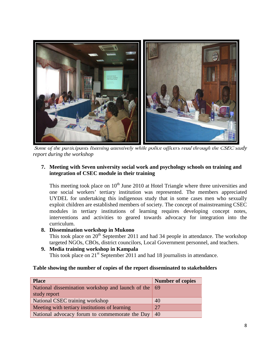

*Some of the participants listening attentively while police officers read through the CSEC study report during the workshop*

# **7. Meeting with Seven university social work and psychology schools on training and integration of CSEC module in their training**

This meeting took place on  $10<sup>th</sup>$  June 2010 at Hotel Triangle where three universities and one social workers' tertiary institution was represented. The members appreciated UYDEL for undertaking this indigenous study that in some cases men who sexually exploit children are established members of society. The concept of mainstreaming CSEC modules in tertiary institutions of learning requires developing concept notes, interventions and activities to geared towards advocacy for integration into the curriculum.

#### **8. Dissemination workshop in Mukono**

This took place on  $20<sup>th</sup>$  September 2011 and had 34 people in attendance. The workshop targeted NGOs, CBOs, district councilors, Local Government personnel, and teachers.

**9. Media training workshop in Kampala** This took place on  $21<sup>st</sup>$  September 2011 and had 18 journalists in attendance.

#### **Table showing the number of copies of the report disseminated to stakeholders**

| <b>Place</b>                                         | <b>Number of copies</b> |
|------------------------------------------------------|-------------------------|
| National dissemination workshop and launch of the 69 |                         |
| study report                                         |                         |
| National CSEC training workshop                      | 40                      |
| Meeting with tertiary institutions of learning       | 27                      |
| National advocacy forum to commemorate the Day       | 40                      |